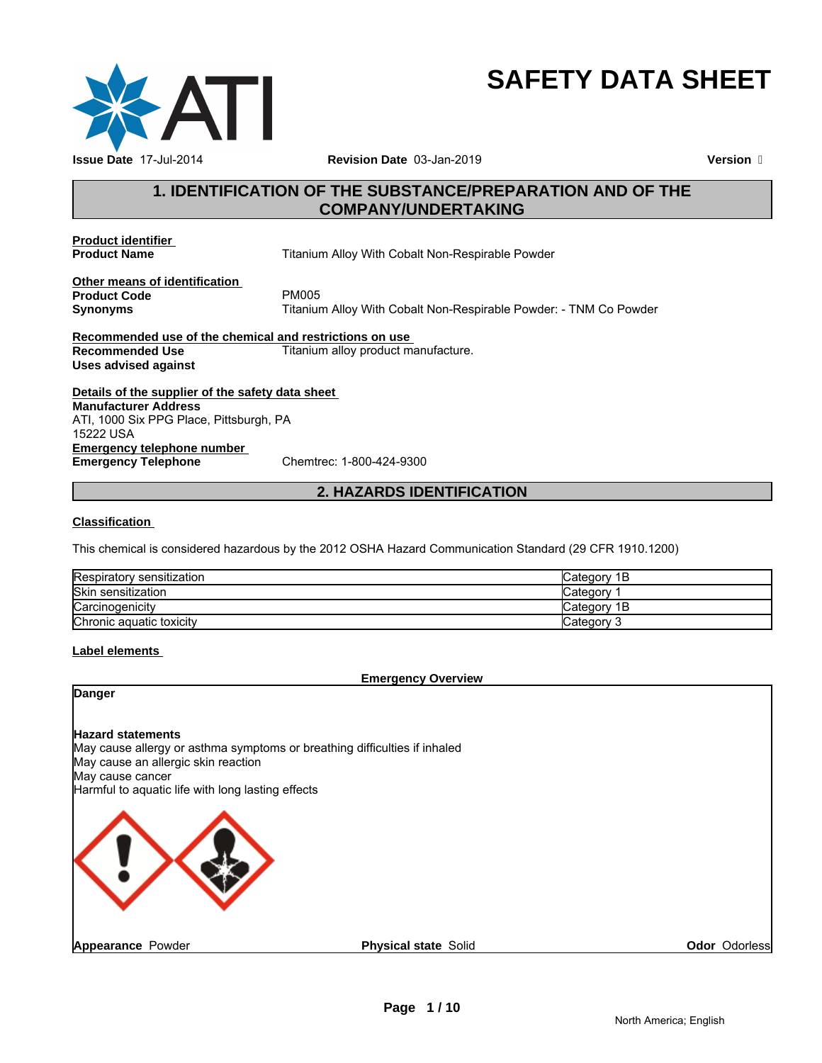

# **SAFETY DATA SHEET**

# **1. IDENTIFICATION OF THE SUBSTANCE/PREPARATION AND OF THE COMPANY/UNDERTAKING**

**Product identifier** 

**Titanium Alloy With Cobalt Non-Respirable Powder** 

**Other means of identification Product Code**<br>Synonyms

**Synonyms** Titanium Alloy With Cobalt Non-Respirable Powder: - TNM Co Powder

**Recommended use of the chemical and restrictions on use Recommended Use Titanium alloy product manufacture. Uses advised against**

**Details of the supplier of the safety data sheet Emergency telephone number**<br> **Emergency Telephone**<br>
Chemtrec: 1-800-424-9300 **Emergency Telephone Manufacturer Address** ATI, 1000 Six PPG Place, Pittsburgh, PA 15222 USA

# **2. HAZARDS IDENTIFICATION**

#### **Classification**

This chemical is considered hazardous by the 2012 OSHA Hazard Communication Standard (29 CFR 1910.1200)

| Respiratory sensitization | lCategorv 1B |
|---------------------------|--------------|
| <b>Skin sensitization</b> | Categorv     |
| Carcinogenicity           | lCategorv 1B |
| Chronic aquatic toxicity  | lCategorv 3  |

#### **Label elements**

#### **Emergency Overview**

### **Danger**

#### **Hazard statements**

May cause allergy or asthma symptoms or breathing difficulties if inhaled May cause an allergic skin reaction May cause cancer

Harmful to aquatic life with long lasting effects



**Odor** Odorless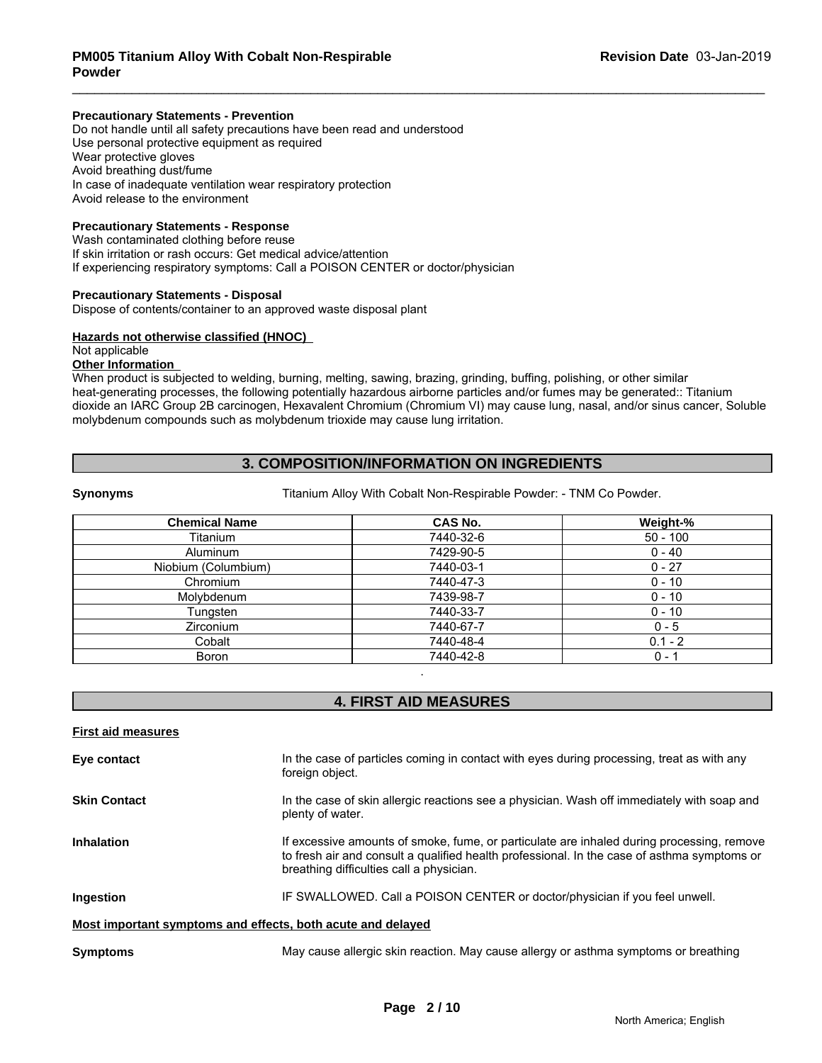#### **Precautionary Statements - Prevention**

Do not handle until all safety precautions have been read and understood Use personal protective equipment as required Wear protective gloves Avoid breathing dust/fume In case of inadequate ventilation wear respiratory protection Avoid release to the environment

#### **Precautionary Statements - Response**

Wash contaminated clothing before reuse If skin irritation or rash occurs: Get medical advice/attention If experiencing respiratory symptoms: Call a POISON CENTER or doctor/physician

#### **Precautionary Statements - Disposal**

Dispose of contents/container to an approved waste disposal plant

#### **Hazards not otherwise classified (HNOC)**

# Not applicable

#### **Other Information**

When product is subjected to welding, burning, melting, sawing, brazing, grinding, buffing, polishing, or other similar heat-generating processes, the following potentially hazardous airborne particles and/or fumes may be generated:: Titanium dioxide an IARC Group 2B carcinogen, Hexavalent Chromium (Chromium VI) may cause lung, nasal, and/or sinus cancer, Soluble molybdenum compounds such as molybdenum trioxide may cause lung irritation.

# **3. COMPOSITION/INFORMATION ON INGREDIENTS**

**Synonyms** Titanium Alloy With Cobalt Non-Respirable Powder: - TNM Co Powder.

| <b>Chemical Name</b> | <b>CAS No.</b> | Weight-%   |
|----------------------|----------------|------------|
| Titanium             | 7440-32-6      | $50 - 100$ |
| Aluminum             | 7429-90-5      | $0 - 40$   |
| Niobium (Columbium)  | 7440-03-1      | $0 - 27$   |
| Chromium             | 7440-47-3      | $0 - 10$   |
| Molybdenum           | 7439-98-7      | $0 - 10$   |
| Tungsten             | 7440-33-7      | $0 - 10$   |
| <b>Zirconium</b>     | 7440-67-7      | $0 - 5$    |
| Cobalt               | 7440-48-4      | $0.1 - 2$  |
| Boron                | 7440-42-8      | 0 - 1      |

# **4. FIRST AID MEASURES**

.

| <b>First aid measures</b>                                   |                                                                                                                                                                                                                                      |
|-------------------------------------------------------------|--------------------------------------------------------------------------------------------------------------------------------------------------------------------------------------------------------------------------------------|
| Eye contact                                                 | In the case of particles coming in contact with eyes during processing, treat as with any<br>foreign object.                                                                                                                         |
| <b>Skin Contact</b>                                         | In the case of skin allergic reactions see a physician. Wash off immediately with soap and<br>plenty of water.                                                                                                                       |
| <b>Inhalation</b>                                           | If excessive amounts of smoke, fume, or particulate are inhaled during processing, remove<br>to fresh air and consult a qualified health professional. In the case of asthma symptoms or<br>breathing difficulties call a physician. |
| Ingestion                                                   | IF SWALLOWED. Call a POISON CENTER or doctor/physician if you feel unwell.                                                                                                                                                           |
| Most important symptoms and effects, both acute and delayed |                                                                                                                                                                                                                                      |
| <b>Symptoms</b>                                             | May cause allergic skin reaction. May cause allergy or asthma symptoms or breathing                                                                                                                                                  |
|                                                             |                                                                                                                                                                                                                                      |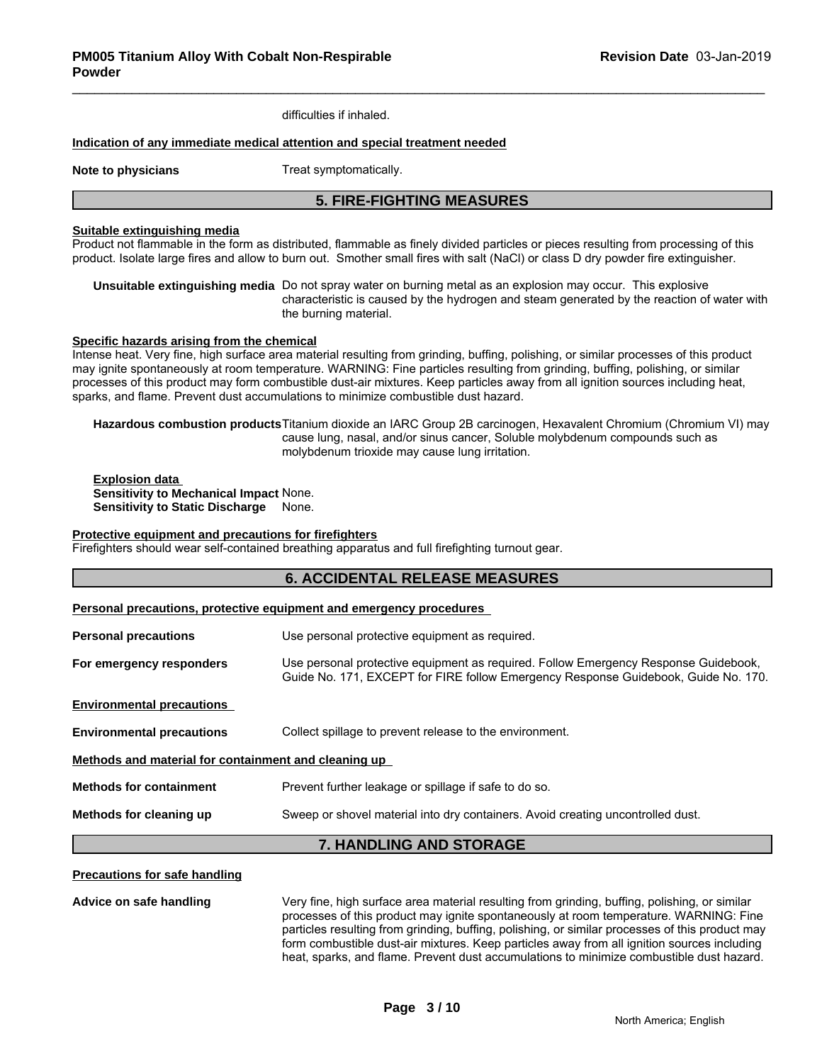difficulties if inhaled.

#### **Indication of any immediate medical attention and special treatment needed**

**Note to physicians** Treat symptomatically.

# **5. FIRE-FIGHTING MEASURES**

#### **Suitable extinguishing media**

Product not flammable in the form as distributed, flammable as finely divided particles or pieces resulting from processing of this product. Isolate large fires and allow to burn out. Smother small fires with salt (NaCl) or class D dry powder fire extinguisher.

**Unsuitable extinguishing media** Do not spray water on burning metal as an explosion may occur. This explosive characteristic is caused by the hydrogen and steam generated by the reaction of water with the burning material.

#### **Specific hazards arising from the chemical**

Intense heat. Very fine, high surface area material resulting from grinding, buffing, polishing, or similar processes of this product may ignite spontaneously at room temperature. WARNING: Fine particles resulting from grinding, buffing, polishing, or similar processes of this product may form combustible dust-air mixtures. Keep particles away from all ignition sources including heat, sparks, and flame. Prevent dust accumulations to minimize combustible dust hazard.

**Hazardous combustion products**Titanium dioxide an IARC Group 2B carcinogen, Hexavalent Chromium (Chromium VI) may cause lung, nasal, and/or sinus cancer, Soluble molybdenum compounds such as molybdenum trioxide may cause lung irritation.

**Explosion data Sensitivity to Mechanical Impact** None. **Sensitivity to Static Discharge** None.

#### **Protective equipment and precautions for firefighters**

Firefighters should wear self-contained breathing apparatus and full firefighting turnout gear.

# **6. ACCIDENTAL RELEASE MEASURES Personal precautions, protective equipment and emergency procedures Personal precautions** Use personal protective equipment as required. **For emergency responders** Use personal protective equipment as required. Follow Emergency Response Guidebook, Guide No. 171, EXCEPT for FIRE follow Emergency Response Guidebook, Guide No. 170. **Environmental precautions Environmental precautions** Collect spillage to prevent release to the environment. **Methods and material for containment and cleaning up Methods for containment** Prevent further leakage or spillage if safe to do so. **Methods for cleaning up** Sweep or shovel material into dry containers. Avoid creating uncontrolled dust. **7. HANDLING AND STORAGE**

#### **Precautions for safe handling**

**Advice on safe handling** Very fine, high surface area material resulting from grinding, buffing, polishing, or similar processes of this product may ignite spontaneously at room temperature. WARNING: Fine particles resulting from grinding, buffing, polishing, or similar processes of this product may form combustible dust-air mixtures. Keep particles away from all ignition sources including heat, sparks, and flame. Prevent dust accumulations to minimize combustible dust hazard.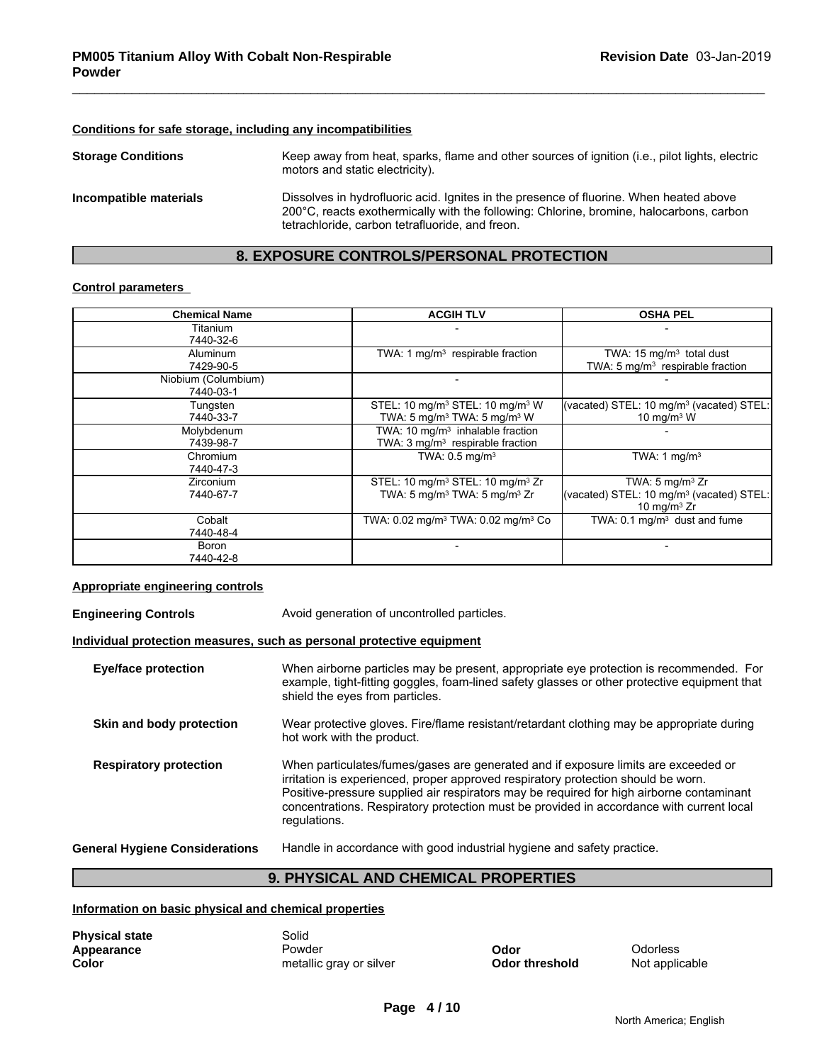# **Conditions for safe storage, including any incompatibilities**

| <b>Storage Conditions</b> | Keep away from heat, sparks, flame and other sources of ignition (i.e., pilot lights, electric<br>motors and static electricity).                                                                                                    |
|---------------------------|--------------------------------------------------------------------------------------------------------------------------------------------------------------------------------------------------------------------------------------|
| Incompatible materials    | Dissolves in hydrofluoric acid. Ignites in the presence of fluorine. When heated above<br>200°C, reacts exothermically with the following: Chlorine, bromine, halocarbons, carbon<br>tetrachloride, carbon tetrafluoride, and freon. |

# **8. EXPOSURE CONTROLS/PERSONAL PROTECTION**

#### **Control parameters**

| <b>Chemical Name</b>             | <b>ACGIH TLV</b>                                                                                                 | <b>OSHA PEL</b>                                                                                      |  |
|----------------------------------|------------------------------------------------------------------------------------------------------------------|------------------------------------------------------------------------------------------------------|--|
| Titanium<br>7440-32-6            |                                                                                                                  |                                                                                                      |  |
| Aluminum<br>7429-90-5            | TWA: 1 mg/m <sup>3</sup> respirable fraction                                                                     | TWA: $15 \text{ mg/m}^3$ total dust<br>TWA: 5 mg/m <sup>3</sup> respirable fraction                  |  |
| Niobium (Columbium)<br>7440-03-1 |                                                                                                                  |                                                                                                      |  |
| Tungsten<br>7440-33-7            | STEL: 10 mg/m <sup>3</sup> STEL: 10 mg/m <sup>3</sup> W<br>TWA: 5 mg/m <sup>3</sup> TWA: 5 mg/m <sup>3</sup> W   | (vacated) STEL: 10 mg/m <sup>3</sup> (vacated) STEL:<br>10 mg/m $3$ W                                |  |
| Molybdenum<br>7439-98-7          | TWA: $10 \text{ mg/m}^3$ inhalable fraction<br>TWA: 3 mg/m <sup>3</sup> respirable fraction                      |                                                                                                      |  |
| Chromium<br>7440-47-3            | TWA: $0.5 \text{ mg/m}^3$                                                                                        | TWA: 1 $mq/m3$                                                                                       |  |
| <b>Zirconium</b><br>7440-67-7    | STEL: 10 mg/m <sup>3</sup> STEL: 10 mg/m <sup>3</sup> Zr<br>TWA: 5 mg/m <sup>3</sup> TWA: 5 mg/m <sup>3</sup> Zr | TWA: $5 \text{ mg/m}^3$ Zr<br>(vacated) STEL: 10 mg/m <sup>3</sup> (vacated) STEL:<br>10 mg/m $3$ Zr |  |
| Cobalt<br>7440-48-4              | TWA: 0.02 mg/m <sup>3</sup> TWA: 0.02 mg/m <sup>3</sup> Co                                                       | TWA: $0.1 \text{ mg/m}^3$ dust and fume                                                              |  |
| Boron<br>7440-42-8               |                                                                                                                  |                                                                                                      |  |

#### **Appropriate engineering controls**

**Engineering Controls Avoid generation of uncontrolled particles.** 

#### **Individual protection measures, such as personal protective equipment**

| <b>Eye/face protection</b>            | When airborne particles may be present, appropriate eye protection is recommended. For<br>example, tight-fitting goggles, foam-lined safety glasses or other protective equipment that<br>shield the eyes from particles.                                                                                                                                                       |
|---------------------------------------|---------------------------------------------------------------------------------------------------------------------------------------------------------------------------------------------------------------------------------------------------------------------------------------------------------------------------------------------------------------------------------|
| Skin and body protection              | Wear protective gloves. Fire/flame resistant/retardant clothing may be appropriate during<br>hot work with the product.                                                                                                                                                                                                                                                         |
| <b>Respiratory protection</b>         | When particulates/fumes/gases are generated and if exposure limits are exceeded or<br>irritation is experienced, proper approved respiratory protection should be worn.<br>Positive-pressure supplied air respirators may be required for high airborne contaminant<br>concentrations. Respiratory protection must be provided in accordance with current local<br>regulations. |
| <b>General Hygiene Considerations</b> | Handle in accordance with good industrial hygiene and safety practice.                                                                                                                                                                                                                                                                                                          |

# **9. PHYSICAL AND CHEMICAL PROPERTIES**

### **Information on basic physical and chemical properties**

| <b>Physical state</b> | Solid                   |                       |                |
|-----------------------|-------------------------|-----------------------|----------------|
| Appearance            | Powder                  | Odor                  | Odorless       |
| Color                 | metallic gray or silver | <b>Odor threshold</b> | Not applicable |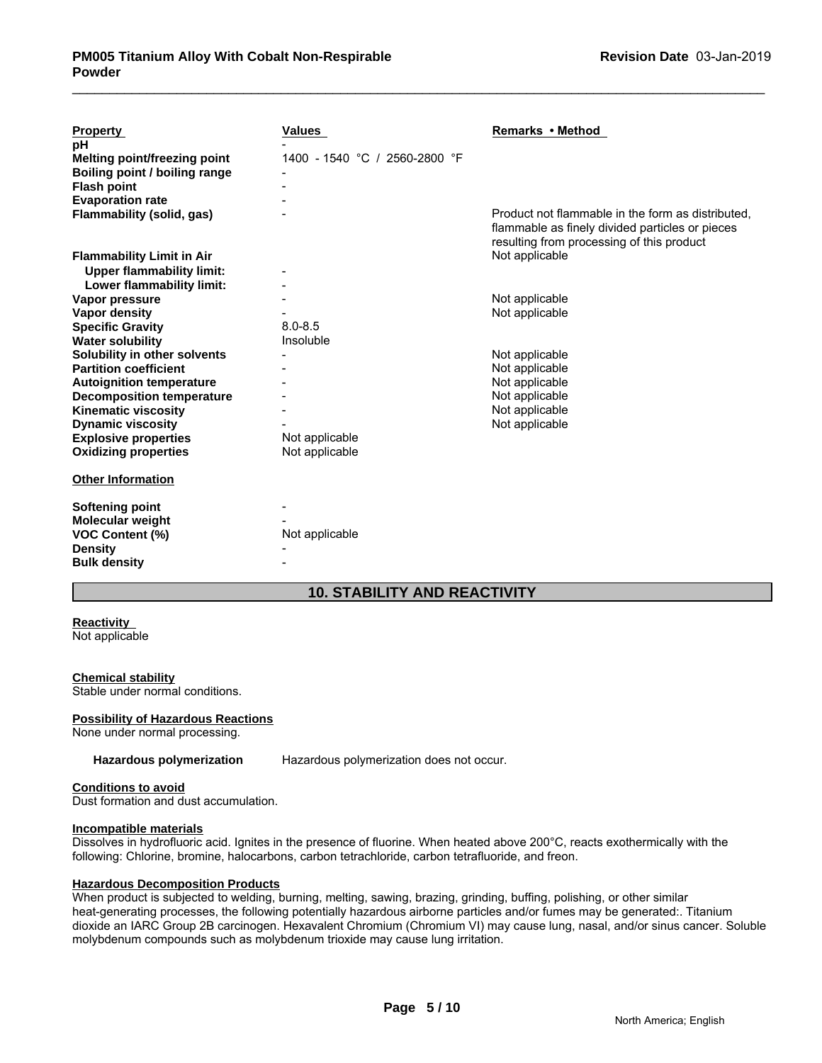| <b>Property</b>                     | <b>Values</b>                 | Remarks • Method                                                                                                                                  |
|-------------------------------------|-------------------------------|---------------------------------------------------------------------------------------------------------------------------------------------------|
| рH                                  |                               |                                                                                                                                                   |
| <b>Melting point/freezing point</b> | 1400 - 1540 °C / 2560-2800 °F |                                                                                                                                                   |
| Boiling point / boiling range       |                               |                                                                                                                                                   |
| <b>Flash point</b>                  |                               |                                                                                                                                                   |
| <b>Evaporation rate</b>             |                               |                                                                                                                                                   |
| <b>Flammability (solid, gas)</b>    |                               | Product not flammable in the form as distributed.<br>flammable as finely divided particles or pieces<br>resulting from processing of this product |
| <b>Flammability Limit in Air</b>    |                               | Not applicable                                                                                                                                    |
| <b>Upper flammability limit:</b>    |                               |                                                                                                                                                   |
| Lower flammability limit:           |                               |                                                                                                                                                   |
| Vapor pressure                      |                               | Not applicable                                                                                                                                    |
| Vapor density                       |                               | Not applicable                                                                                                                                    |
| <b>Specific Gravity</b>             | $8.0 - 8.5$                   |                                                                                                                                                   |
| <b>Water solubility</b>             | Insoluble                     |                                                                                                                                                   |
| Solubility in other solvents        |                               | Not applicable                                                                                                                                    |
| <b>Partition coefficient</b>        |                               | Not applicable                                                                                                                                    |
| <b>Autoignition temperature</b>     |                               | Not applicable                                                                                                                                    |
| <b>Decomposition temperature</b>    |                               | Not applicable                                                                                                                                    |
| <b>Kinematic viscosity</b>          |                               | Not applicable                                                                                                                                    |
| <b>Dynamic viscosity</b>            |                               | Not applicable                                                                                                                                    |
| <b>Explosive properties</b>         | Not applicable                |                                                                                                                                                   |
| <b>Oxidizing properties</b>         | Not applicable                |                                                                                                                                                   |
| <b>Other Information</b>            |                               |                                                                                                                                                   |
| Softening point                     |                               |                                                                                                                                                   |
| Molecular weight                    |                               |                                                                                                                                                   |
| <b>VOC Content (%)</b>              | Not applicable                |                                                                                                                                                   |
| <b>Density</b>                      |                               |                                                                                                                                                   |
| <b>Bulk density</b>                 |                               |                                                                                                                                                   |
|                                     |                               |                                                                                                                                                   |

# **10. STABILITY AND REACTIVITY**

# **Reactivity**

Not applicable

#### **Chemical stability**

Stable under normal conditions.

#### **Possibility of Hazardous Reactions**

None under normal processing.

**Hazardous polymerization** Hazardous polymerization does not occur.

#### **Conditions to avoid**

Dust formation and dust accumulation.

### **Incompatible materials**

Dissolves in hydrofluoric acid. Ignites in the presence of fluorine. When heated above 200°C, reacts exothermically with the following: Chlorine, bromine, halocarbons, carbon tetrachloride, carbon tetrafluoride, and freon.

#### **Hazardous Decomposition Products**

When product is subjected to welding, burning, melting, sawing, brazing, grinding, buffing, polishing, or other similar heat-generating processes, the following potentially hazardous airborne particles and/or fumes may be generated:. Titanium dioxide an IARC Group 2B carcinogen. Hexavalent Chromium (Chromium VI) may cause lung, nasal, and/or sinus cancer. Soluble molybdenum compounds such as molybdenum trioxide may cause lung irritation.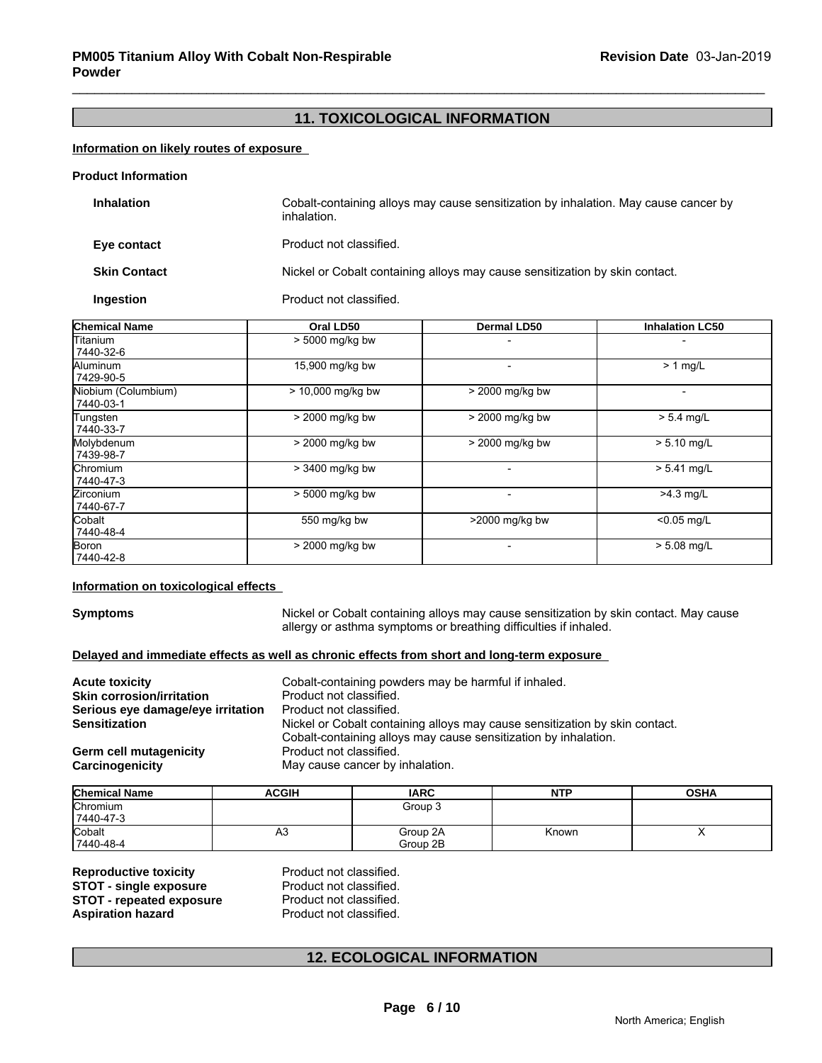# **11. TOXICOLOGICAL INFORMATION**

## **Information on likely routes of exposure**

#### **Product Information**

| <b>Inhalation</b>   | Cobalt-containing alloys may cause sensitization by inhalation. May cause cancer by<br>inhalation. |
|---------------------|----------------------------------------------------------------------------------------------------|
| Eye contact         | Product not classified.                                                                            |
| <b>Skin Contact</b> | Nickel or Cobalt containing alloys may cause sensitization by skin contact.                        |
| Ingestion           | Product not classified.                                                                            |

| <b>Chemical Name</b>             | Oral LD50         | <b>Dermal LD50</b> | <b>Inhalation LC50</b> |
|----------------------------------|-------------------|--------------------|------------------------|
| Titanium<br>7440-32-6            | > 5000 mg/kg bw   |                    |                        |
| Aluminum<br>7429-90-5            | 15,900 mg/kg bw   |                    | $> 1$ mg/L             |
| Niobium (Columbium)<br>7440-03-1 | > 10,000 mg/kg bw | > 2000 mg/kg bw    |                        |
| Tungsten<br>7440-33-7            | > 2000 mg/kg bw   | > 2000 mg/kg bw    | $> 5.4$ mg/L           |
| Molybdenum<br>7439-98-7          | > 2000 mg/kg bw   | > 2000 mg/kg bw    | $> 5.10$ mg/L          |
| lChromium<br>7440-47-3           | > 3400 mg/kg bw   |                    | $> 5.41$ mg/L          |
| Zirconium<br>7440-67-7           | > 5000 mg/kg bw   |                    | $>4.3$ mg/L            |
| Cobalt<br>7440-48-4              | 550 mg/kg bw      | >2000 mg/kg bw     | $< 0.05$ mg/L          |
| Boron<br>7440-42-8               | > 2000 mg/kg bw   |                    | $> 5.08$ mg/L          |

#### **Information on toxicological effects**

**Symptoms** Nickel or Cobalt containing alloys may cause sensitization by skin contact. May cause allergy or asthma symptoms or breathing difficulties if inhaled.

#### **Delayed and immediate effects as well as chronic effects from short and long-term exposure**

| <b>Acute toxicity</b><br><b>Skin corrosion/irritation</b><br>Serious eye damage/eye irritation<br>Sensitization | Cobalt-containing powders may be harmful if inhaled.<br>Product not classified.<br>Product not classified.<br>Nickel or Cobalt containing alloys may cause sensitization by skin contact.<br>Cobalt-containing alloys may cause sensitization by inhalation. |
|-----------------------------------------------------------------------------------------------------------------|--------------------------------------------------------------------------------------------------------------------------------------------------------------------------------------------------------------------------------------------------------------|
| Germ cell mutagenicity                                                                                          | Product not classified.                                                                                                                                                                                                                                      |
| Carcinogenicity                                                                                                 | May cause cancer by inhalation.                                                                                                                                                                                                                              |

| <b>Chemical Name</b> | <b>ACGIH</b> | <b>IARC</b> | <b>NTP</b> | <b>OSHA</b> |
|----------------------|--------------|-------------|------------|-------------|
| Chromium             |              | Group 3     |            |             |
| 7440-47-3            |              |             |            |             |
| Cobalt               | A3           | Group 2A    | Known      |             |
| 7440-48-4            |              | Group 2B    |            |             |

| <b>Reproductive toxicity</b>    |
|---------------------------------|
| <b>STOT - single exposure</b>   |
| <b>STOT - repeated exposure</b> |
| <b>Aspiration hazard</b>        |

**Product not classified. Product not classified. Product not classified.** Product not classified.

# **12. ECOLOGICAL INFORMATION**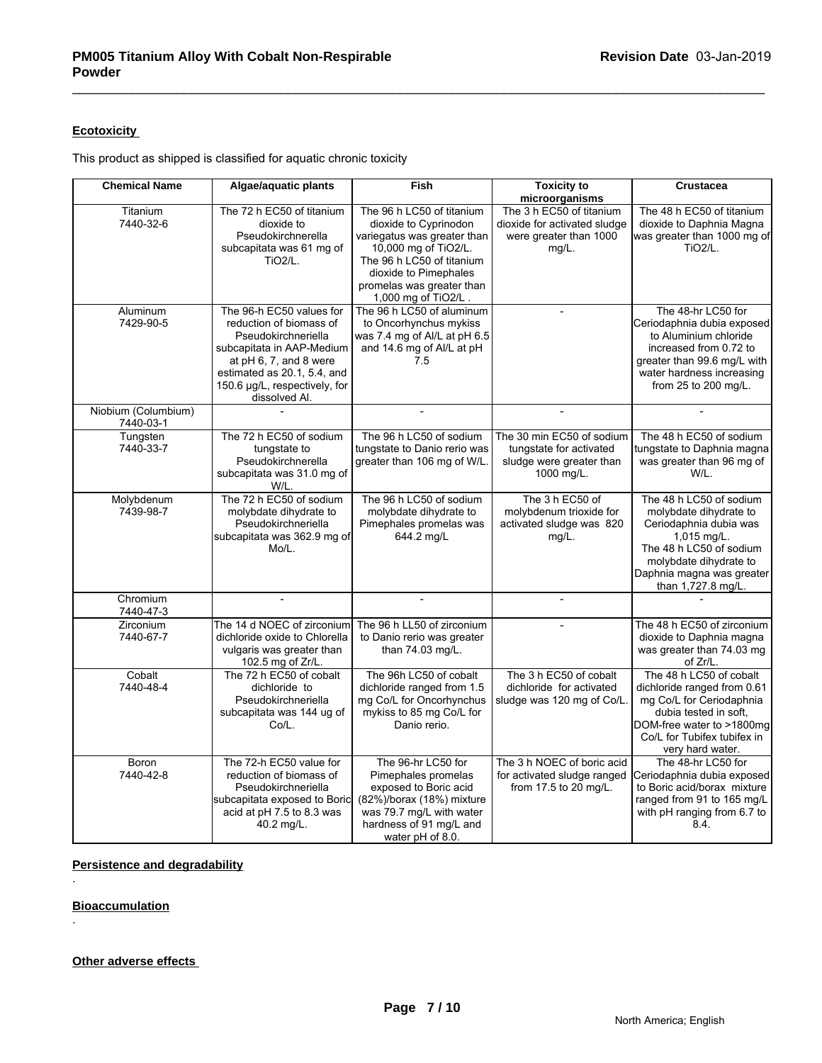# **Ecotoxicity**

This product as shipped is classified for aquatic chronic toxicity

| <b>Chemical Name</b>             | Algae/aquatic plants                                                                                                                                               | <b>Fish</b>                                                                                                                                                                | <b>Toxicity to</b>                                                                             | <b>Crustacea</b>                                                                                                                                                                                  |
|----------------------------------|--------------------------------------------------------------------------------------------------------------------------------------------------------------------|----------------------------------------------------------------------------------------------------------------------------------------------------------------------------|------------------------------------------------------------------------------------------------|---------------------------------------------------------------------------------------------------------------------------------------------------------------------------------------------------|
|                                  |                                                                                                                                                                    |                                                                                                                                                                            | microorganisms                                                                                 |                                                                                                                                                                                                   |
| Titanium<br>7440-32-6            | The 72 h EC50 of titanium<br>dioxide to<br>Pseudokirchnerella                                                                                                      | The 96 h LC50 of titanium<br>dioxide to Cyprinodon<br>variegatus was greater than                                                                                          | The 3 h EC50 of titanium<br>dioxide for activated sludge<br>were greater than 1000             | The 48 h EC50 of titanium<br>dioxide to Daphnia Magna<br>was greater than 1000 mg of                                                                                                              |
|                                  | subcapitata was 61 mg of<br><b>TiO2/L.</b>                                                                                                                         | 10,000 mg of TiO2/L.<br>The 96 h LC50 of titanium                                                                                                                          | $mg/L$ .                                                                                       | <b>TiO2/L.</b>                                                                                                                                                                                    |
|                                  |                                                                                                                                                                    | dioxide to Pimephales<br>promelas was greater than                                                                                                                         |                                                                                                |                                                                                                                                                                                                   |
|                                  |                                                                                                                                                                    | 1,000 mg of TiO2/L.                                                                                                                                                        |                                                                                                |                                                                                                                                                                                                   |
| Aluminum<br>7429-90-5            | The 96-h EC50 values for<br>reduction of biomass of<br>Pseudokirchneriella<br>subcapitata in AAP-Medium<br>at $pH$ 6, 7, and 8 were<br>estimated as 20.1, 5.4, and | The 96 h LC50 of aluminum<br>to Oncorhynchus mykiss<br>was 7.4 mg of Al/L at pH 6.5<br>and 14.6 mg of Al/L at pH<br>7.5                                                    | $\overline{a}$                                                                                 | The 48-hr LC50 for<br>Ceriodaphnia dubia exposed<br>to Aluminium chloride<br>increased from 0.72 to<br>greater than 99.6 mg/L with<br>water hardness increasing                                   |
|                                  | 150.6 µg/L, respectively, for<br>dissolved Al.                                                                                                                     |                                                                                                                                                                            |                                                                                                | from 25 to 200 mg/L.                                                                                                                                                                              |
| Niobium (Columbium)<br>7440-03-1 |                                                                                                                                                                    | $\overline{a}$                                                                                                                                                             |                                                                                                |                                                                                                                                                                                                   |
| Tungsten<br>7440-33-7            | The 72 h EC50 of sodium<br>tungstate to<br>Pseudokirchnerella<br>subcapitata was 31.0 mg of<br>W/L.                                                                | The 96 h LC50 of sodium<br>tungstate to Danio rerio was<br>greater than 106 mg of W/L                                                                                      | The 30 min EC50 of sodium<br>tungstate for activated<br>sludge were greater than<br>1000 mg/L. | The 48 h EC50 of sodium<br>tungstate to Daphnia magna<br>was greater than 96 mg of<br>W/L.                                                                                                        |
| Molybdenum<br>7439-98-7          | The 72 h EC50 of sodium<br>molybdate dihydrate to<br>Pseudokirchneriella<br>subcapitata was 362.9 mg of<br>Mo/L.                                                   | The 96 h LC50 of sodium<br>molybdate dihydrate to<br>Pimephales promelas was<br>644.2 mg/L                                                                                 | The 3 h EC50 of<br>molybdenum trioxide for<br>activated sludge was 820<br>mg/L.                | The 48 h LC50 of sodium<br>molybdate dihydrate to<br>Ceriodaphnia dubia was<br>1,015 mg/L.<br>The 48 h LC50 of sodium<br>molybdate dihydrate to<br>Daphnia magna was greater<br>than 1,727.8 mg/L |
| Chromium<br>7440-47-3            |                                                                                                                                                                    |                                                                                                                                                                            |                                                                                                |                                                                                                                                                                                                   |
| Zirconium<br>7440-67-7           | The 14 d NOEC of zirconium<br>dichloride oxide to Chlorella<br>vulgaris was greater than<br>102.5 mg of Zr/L.                                                      | The 96 h LL50 of zirconium<br>to Danio rerio was greater<br>than 74.03 mg/L.                                                                                               |                                                                                                | The 48 h EC50 of zirconium<br>dioxide to Daphnia magna<br>was greater than 74.03 mg<br>of Zr/L.                                                                                                   |
| Cobalt<br>7440-48-4              | The 72 h EC50 of cobalt<br>dichloride to<br>Pseudokirchneriella<br>subcapitata was 144 ug of<br>Co/L.                                                              | The 96h LC50 of cobalt<br>dichloride ranged from 1.5<br>mg Co/L for Oncorhynchus<br>mykiss to 85 mg Co/L for<br>Danio rerio.                                               | The 3 h EC50 of cobalt<br>dichloride for activated<br>sludge was 120 mg of Co/L                | The 48 h LC50 of cobalt<br>dichloride ranged from 0.61<br>mg Co/L for Ceriodaphnia<br>dubia tested in soft,<br>DOM-free water to >1800mg<br>Co/L for Tubifex tubifex in<br>very hard water.       |
| Boron<br>7440-42-8               | The 72-h EC50 value for<br>reduction of biomass of<br>Pseudokirchneriella<br>subcapitata exposed to Boric<br>acid at pH 7.5 to 8.3 was<br>40.2 mg/L.               | The 96-hr LC50 for<br>Pimephales promelas<br>exposed to Boric acid<br>(82%)/borax (18%) mixture<br>was 79.7 mg/L with water<br>hardness of 91 mg/L and<br>water pH of 8.0. | The 3 h NOEC of boric acid<br>for activated sludge ranged<br>from 17.5 to 20 mg/L.             | The 48-hr LC50 for<br>Ceriodaphnia dubia exposed<br>to Boric acid/borax mixture<br>ranged from 91 to 165 mg/L<br>with pH ranging from 6.7 to<br>8.4.                                              |

# **Persistence and degradability**

**Bioaccumulation**

.

.

# **Other adverse effects**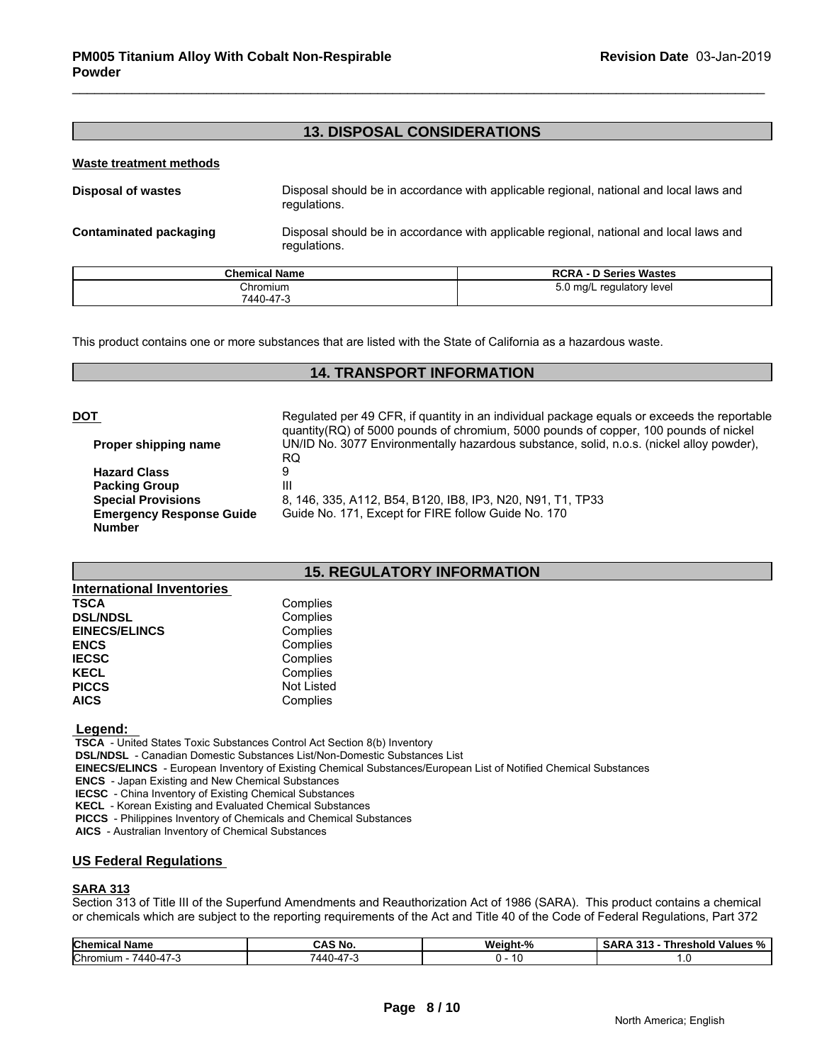# **13. DISPOSAL CONSIDERATIONS**

#### **Waste treatment methods**

| Disposal of wastes     | Disposal should be in accordance with applicable regional, national and local laws and<br>regulations. |
|------------------------|--------------------------------------------------------------------------------------------------------|
| Contaminated packaging | Disposal should be in accordance with applicable regional, national and local laws and                 |

| <b>Chemical Name</b> | <b>RCRA - D Series Wastes</b>          |
|----------------------|----------------------------------------|
| Chromium             | $5.0 \text{ mg/L}$<br>regulatory level |
| 7440-47-3            |                                        |

This product contains one or more substances that are listed with the State of California as a hazardous waste.

regulations.

# **14. TRANSPORT INFORMATION**

| <u>DOT</u> |                                                  | Regulated per 49 CFR, if quantity in an individual package equals or exceeds the reportable                                                                                             |
|------------|--------------------------------------------------|-----------------------------------------------------------------------------------------------------------------------------------------------------------------------------------------|
|            | Proper shipping name                             | quantity(RQ) of 5000 pounds of chromium, 5000 pounds of copper, 100 pounds of nickel<br>UN/ID No. 3077 Environmentally hazardous substance, solid, n.o.s. (nickel alloy powder),<br>RQ. |
|            | <b>Hazard Class</b>                              |                                                                                                                                                                                         |
|            | <b>Packing Group</b>                             | Ш                                                                                                                                                                                       |
|            | <b>Special Provisions</b>                        | 8, 146, 335, A112, B54, B120, IB8, IP3, N20, N91, T1, TP33                                                                                                                              |
|            | <b>Emergency Response Guide</b><br><b>Number</b> | Guide No. 171, Except for FIRE follow Guide No. 170                                                                                                                                     |
|            |                                                  |                                                                                                                                                                                         |

# **15. REGULATORY INFORMATION**

| <b>International Inventories</b> |            |
|----------------------------------|------------|
| <b>TSCA</b>                      | Complies   |
| <b>DSL/NDSL</b>                  | Complies   |
| <b>EINECS/ELINCS</b>             | Complies   |
| <b>ENCS</b>                      | Complies   |
| <b>IECSC</b>                     | Complies   |
| <b>KECL</b>                      | Complies   |
| <b>PICCS</b>                     | Not Listed |
| <b>AICS</b>                      | Complies   |

#### **Legend:**

 **TSCA** - United States Toxic Substances Control Act Section 8(b) Inventory

 **DSL/NDSL** - Canadian Domestic Substances List/Non-Domestic Substances List

 **EINECS/ELINCS** - European Inventory of Existing Chemical Substances/European List of Notified Chemical Substances

 **ENCS** - Japan Existing and New Chemical Substances

 **IECSC** - China Inventory of Existing Chemical Substances

 **KECL** - Korean Existing and Evaluated Chemical Substances

 **PICCS** - Philippines Inventory of Chemicals and Chemical Substances

 **AICS** - Australian Inventory of Chemical Substances

#### **US Federal Regulations**

#### **SARA 313**

Section 313 of Title III of the Superfund Amendments and Reauthorization Act of 1986 (SARA). This product contains a chemical or chemicals which are subject to the reporting requirements of the Act and Title 40 of the Code of Federal Regulations, Part 372

| <b>Chemical</b><br>ical Name                      | <b>CAS No.</b>          | <b>Weight-</b><br>.4.07<br>- 70 | .<br>- - -<br><br>Threshold Values %<br><b>SARA 313</b> |
|---------------------------------------------------|-------------------------|---------------------------------|---------------------------------------------------------|
| <b>Chromium</b><br>$\rightarrow$<br>7440-4<br>. . | $\rightarrow$<br>7440-4 | . .                             |                                                         |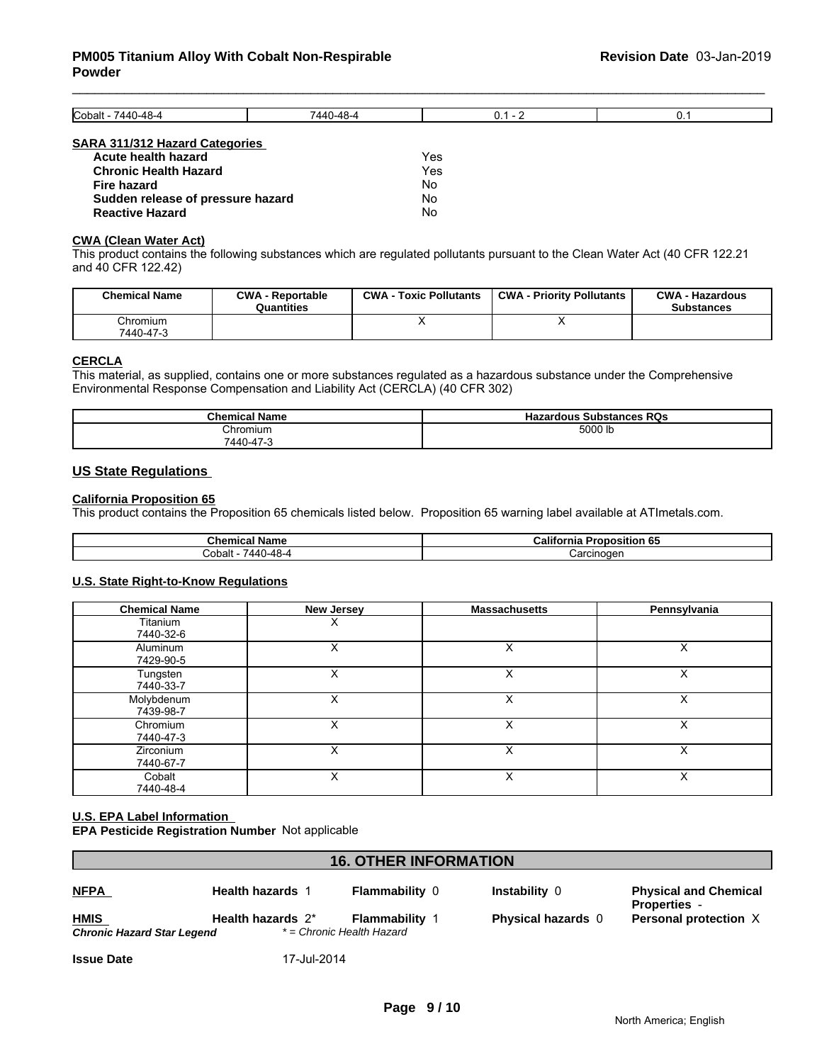| Cobalt - 7440-48-4                    | 7440-48-4 | $0.1 - 2$ | 0. |
|---------------------------------------|-----------|-----------|----|
|                                       |           |           |    |
| <b>SARA 311/312 Hazard Categories</b> |           |           |    |
| Acute health hazard                   |           | Yes       |    |
| <b>Chronic Health Hazard</b>          |           | Yes       |    |
| Fire hazard                           |           | No        |    |
| Sudden release of pressure hazard     |           | No        |    |
| <b>Reactive Hazard</b>                |           | No        |    |

#### **CWA (Clean Water Act)**

**Reactive Hazard** 

This product contains the following substances which are regulated pollutants pursuant to the Clean Water Act (40 CFR 122.21 and 40 CFR 122.42)

| <b>Chemical Name</b>  | <b>CWA - Reportable</b><br>Quantities | <b>CWA - Toxic Pollutants</b> | <b>CWA - Priority Pollutants</b> | <b>CWA - Hazardous</b><br><b>Substances</b> |
|-----------------------|---------------------------------------|-------------------------------|----------------------------------|---------------------------------------------|
| Chromium<br>7440-47-3 |                                       |                               |                                  |                                             |

# **CERCLA**

This material, as supplied, contains one or more substances regulated as a hazardous substance under the Comprehensive Environmental Response Compensation and Liability Act (CERCLA) (40 CFR 302)

| <b>Chemical Name</b>                        | <b>Hazardous</b><br><b>RQs</b><br><b>Substances</b> |
|---------------------------------------------|-----------------------------------------------------|
| Chromium                                    | 5000 lb                                             |
| $7440 - 4$<br>$\rightarrow$<br>$\mathbf{r}$ |                                                     |

#### **US State Regulations**

#### **California Proposition 65**

This product contains the Proposition 65 chemicals listed below. Proposition 65 warning label available at ATImetals.com.

| ∣ Name<br>Chemical       | Califor<br>Proposition 65<br>tornia |
|--------------------------|-------------------------------------|
| ∕۔48⊿،<br>Cobalt<br>744C | Carcinoger                          |

#### **U.S. State Right-to-Know Regulations**

| <b>Chemical Name</b>    | <b>New Jersey</b> | <b>Massachusetts</b> | Pennsylvania |
|-------------------------|-------------------|----------------------|--------------|
| Titanium<br>7440-32-6   | х                 |                      |              |
| Aluminum<br>7429-90-5   |                   |                      |              |
| Tungsten<br>7440-33-7   | X                 | X                    | X            |
| Molybdenum<br>7439-98-7 | x                 | $\check{ }$<br>⋏     | X            |
| Chromium<br>7440-47-3   | Х                 | X                    | X            |
| Zirconium<br>7440-67-7  |                   | $\check{ }$<br>⋏     | х            |
| Cobalt<br>7440-48-4     |                   | ́                    | ᄉ            |

#### **U.S. EPA Label Information EPA Pesticide Registration Number** Not applicable

| <b>16. OTHER INFORMATION</b> |                         |                           |                           |                                                     |
|------------------------------|-------------------------|---------------------------|---------------------------|-----------------------------------------------------|
| <b>NFPA</b>                  | <b>Health hazards 1</b> | <b>Flammability 0</b>     | Instability 0             | <b>Physical and Chemical</b><br><b>Properties -</b> |
| <b>HMIS</b>                  | Health hazards $2^*$    | <b>Flammability 1</b>     | <b>Physical hazards</b> 0 | Personal protection X                               |
| Chronic Hazard Star Legend   |                         | * = Chronic Health Hazard |                           |                                                     |

**Issue Date** 17-Jul-2014